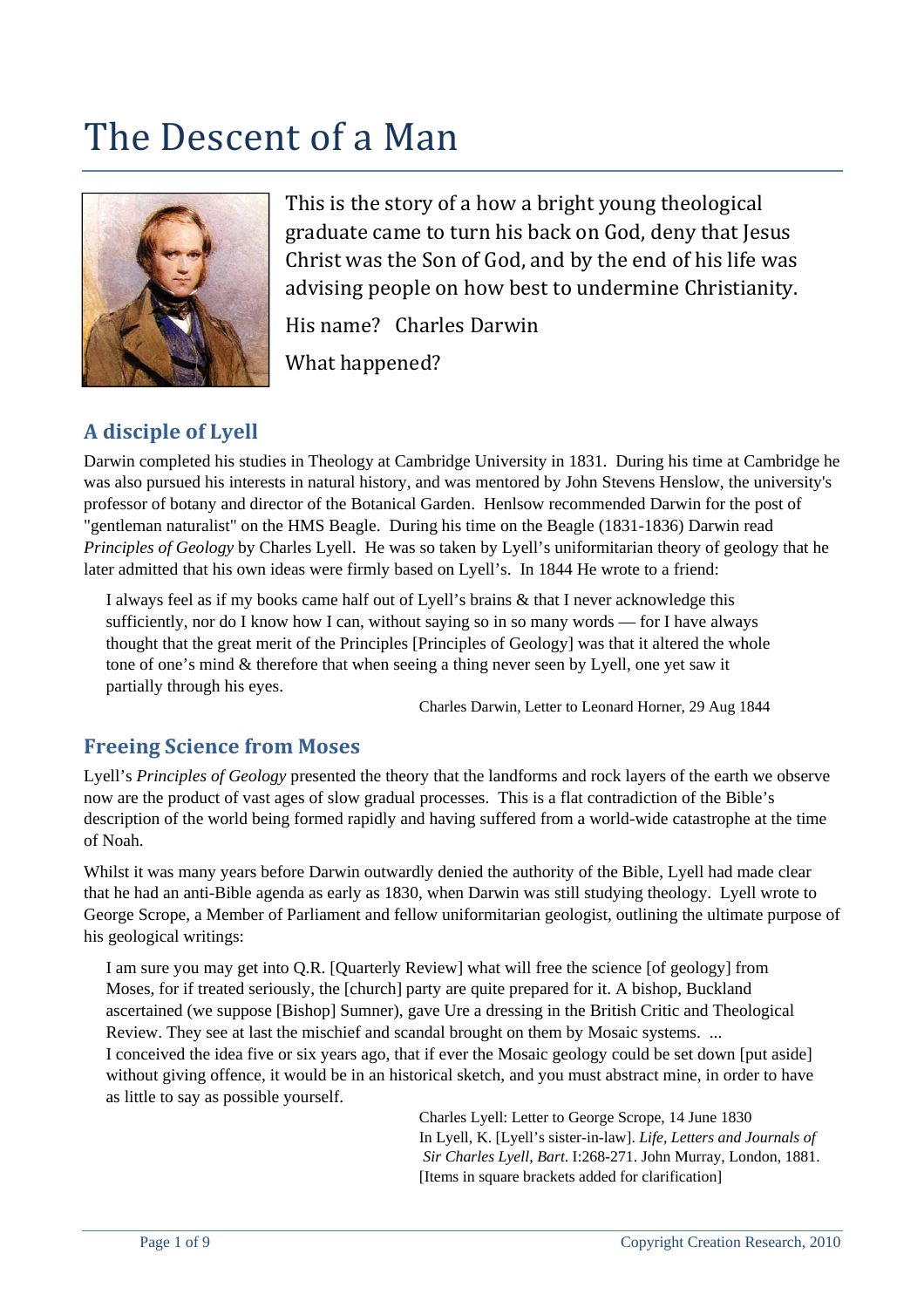# The Descent of a Man



This is the story of a how a bright young theological graduate came to turn his back on God, deny that Jesus Christ was the Son of God, and by the end of his life was advising people on how best to undermine Christianity.

His name? Charles Darwin

What happened?

# **A disciple of Lyell**

Darwin completed his studies in Theology at Cambridge University in 1831. During his time at Cambridge he was also pursued his interests in natural history, and was mentored by John Stevens Henslow, the university's professor of botany and director of the Botanical Garden. Henlsow recommended Darwin for the post of "gentleman naturalist" on the HMS Beagle. During his time on the Beagle (1831-1836) Darwin read *Principles of Geology* by Charles Lyell. He was so taken by Lyell's uniformitarian theory of geology that he later admitted that his own ideas were firmly based on Lyell's. In 1844 He wrote to a friend:

I always feel as if my books came half out of Lyell's brains & that I never acknowledge this sufficiently, nor do I know how I can, without saying so in so many words — for I have always thought that the great merit of the Principles [Principles of Geology] was that it altered the whole tone of one's mind & therefore that when seeing a thing never seen by Lyell, one yet saw it partially through his eyes.

Charles Darwin, Letter to Leonard Horner, 29 Aug 1844

# **Freeing Science from Moses**

Lyell's *Principles of Geology* presented the theory that the landforms and rock layers of the earth we observe now are the product of vast ages of slow gradual processes. This is a flat contradiction of the Bible's description of the world being formed rapidly and having suffered from a world-wide catastrophe at the time of Noah.

Whilst it was many years before Darwin outwardly denied the authority of the Bible, Lyell had made clear that he had an anti-Bible agenda as early as 1830, when Darwin was still studying theology. Lyell wrote to George Scrope, a Member of Parliament and fellow uniformitarian geologist, outlining the ultimate purpose of his geological writings:

I am sure you may get into Q.R. [Quarterly Review] what will free the science [of geology] from Moses, for if treated seriously, the [church] party are quite prepared for it. A bishop, Buckland ascertained (we suppose [Bishop] Sumner), gave Ure a dressing in the British Critic and Theological Review. They see at last the mischief and scandal brought on them by Mosaic systems. ... I conceived the idea five or six years ago, that if ever the Mosaic geology could be set down [put aside] without giving offence, it would be in an historical sketch, and you must abstract mine, in order to have as little to say as possible yourself.

> Charles Lyell: Letter to George Scrope, 14 June 1830 In Lyell, K. [Lyell's sister-in-law]. *Life, Letters and Journals of Sir Charles Lyell, Bart*. I:268-271. John Murray, London, 1881. [Items in square brackets added for clarification]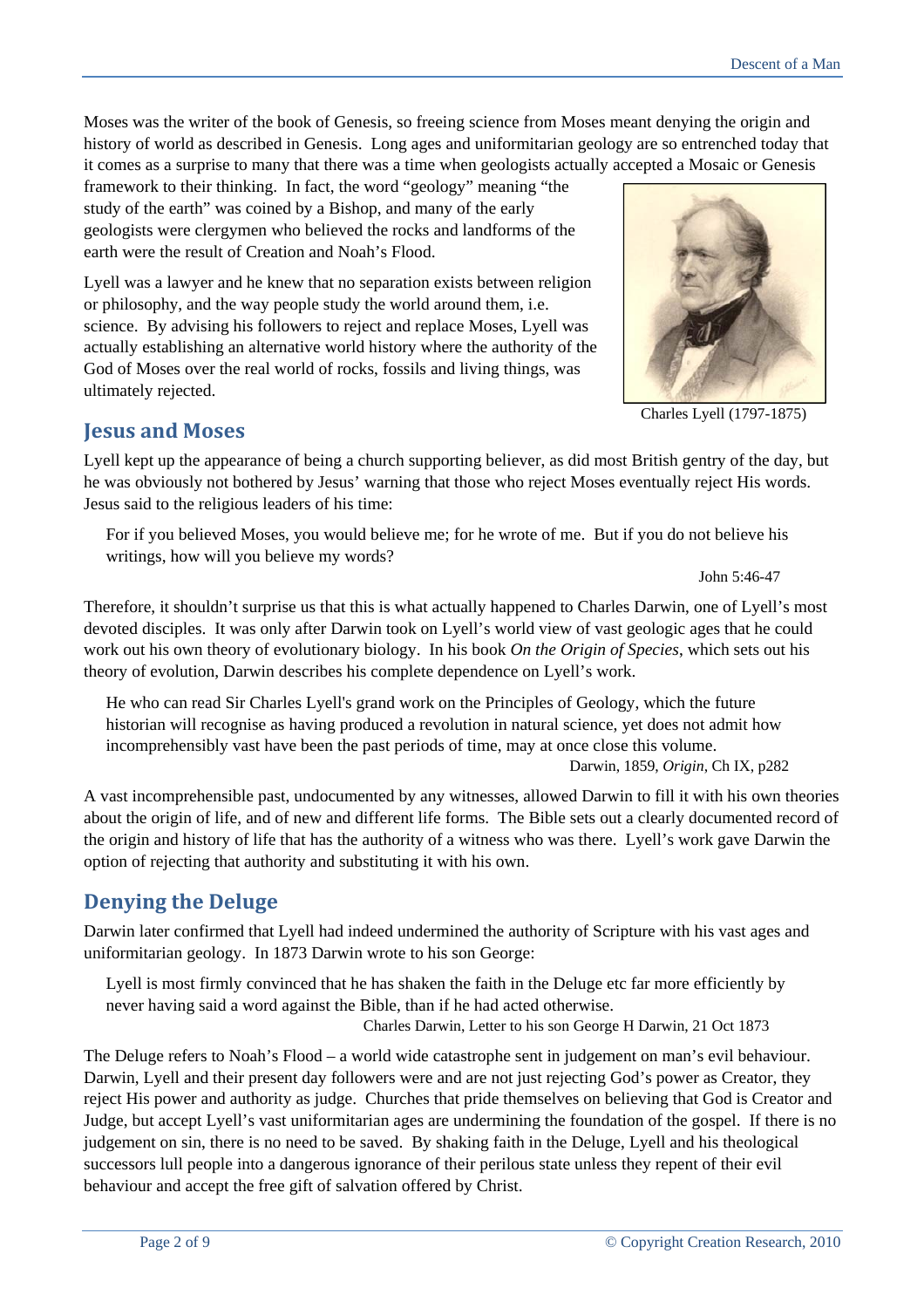Moses was the writer of the book of Genesis, so freeing science from Moses meant denying the origin and history of world as described in Genesis. Long ages and uniformitarian geology are so entrenched today that it comes as a surprise to many that there was a time when geologists actually accepted a Mosaic or Genesis

framework to their thinking. In fact, the word "geology" meaning "the study of the earth" was coined by a Bishop, and many of the early geologists were clergymen who believed the rocks and landforms of the earth were the result of Creation and Noah's Flood.

Lyell was a lawyer and he knew that no separation exists between religion or philosophy, and the way people study the world around them, i.e. science. By advising his followers to reject and replace Moses, Lyell was actually establishing an alternative world history where the authority of the God of Moses over the real world of rocks, fossils and living things, was ultimately rejected.



Charles Lyell (1797-1875)

## **Jesus and Moses**

Lyell kept up the appearance of being a church supporting believer, as did most British gentry of the day, but he was obviously not bothered by Jesus' warning that those who reject Moses eventually reject His words. Jesus said to the religious leaders of his time:

For if you believed Moses, you would believe me; for he wrote of me. But if you do not believe his writings, how will you believe my words?

John 5:46-47

Therefore, it shouldn't surprise us that this is what actually happened to Charles Darwin, one of Lyell's most devoted disciples. It was only after Darwin took on Lyell's world view of vast geologic ages that he could work out his own theory of evolutionary biology. In his book *On the Origin of Species*, which sets out his theory of evolution, Darwin describes his complete dependence on Lyell's work.

He who can read Sir Charles Lyell's grand work on the Principles of Geology, which the future historian will recognise as having produced a revolution in natural science, yet does not admit how incomprehensibly vast have been the past periods of time, may at once close this volume.

Darwin, 1859, *Origin*, Ch IX, p282

A vast incomprehensible past, undocumented by any witnesses, allowed Darwin to fill it with his own theories about the origin of life, and of new and different life forms. The Bible sets out a clearly documented record of the origin and history of life that has the authority of a witness who was there. Lyell's work gave Darwin the option of rejecting that authority and substituting it with his own.

# **Denying the Deluge**

Darwin later confirmed that Lyell had indeed undermined the authority of Scripture with his vast ages and uniformitarian geology. In 1873 Darwin wrote to his son George:

Lyell is most firmly convinced that he has shaken the faith in the Deluge etc far more efficiently by never having said a word against the Bible, than if he had acted otherwise.

Charles Darwin, Letter to his son George H Darwin, 21 Oct 1873

The Deluge refers to Noah's Flood – a world wide catastrophe sent in judgement on man's evil behaviour. Darwin, Lyell and their present day followers were and are not just rejecting God's power as Creator, they reject His power and authority as judge. Churches that pride themselves on believing that God is Creator and Judge, but accept Lyell's vast uniformitarian ages are undermining the foundation of the gospel. If there is no judgement on sin, there is no need to be saved. By shaking faith in the Deluge, Lyell and his theological successors lull people into a dangerous ignorance of their perilous state unless they repent of their evil behaviour and accept the free gift of salvation offered by Christ.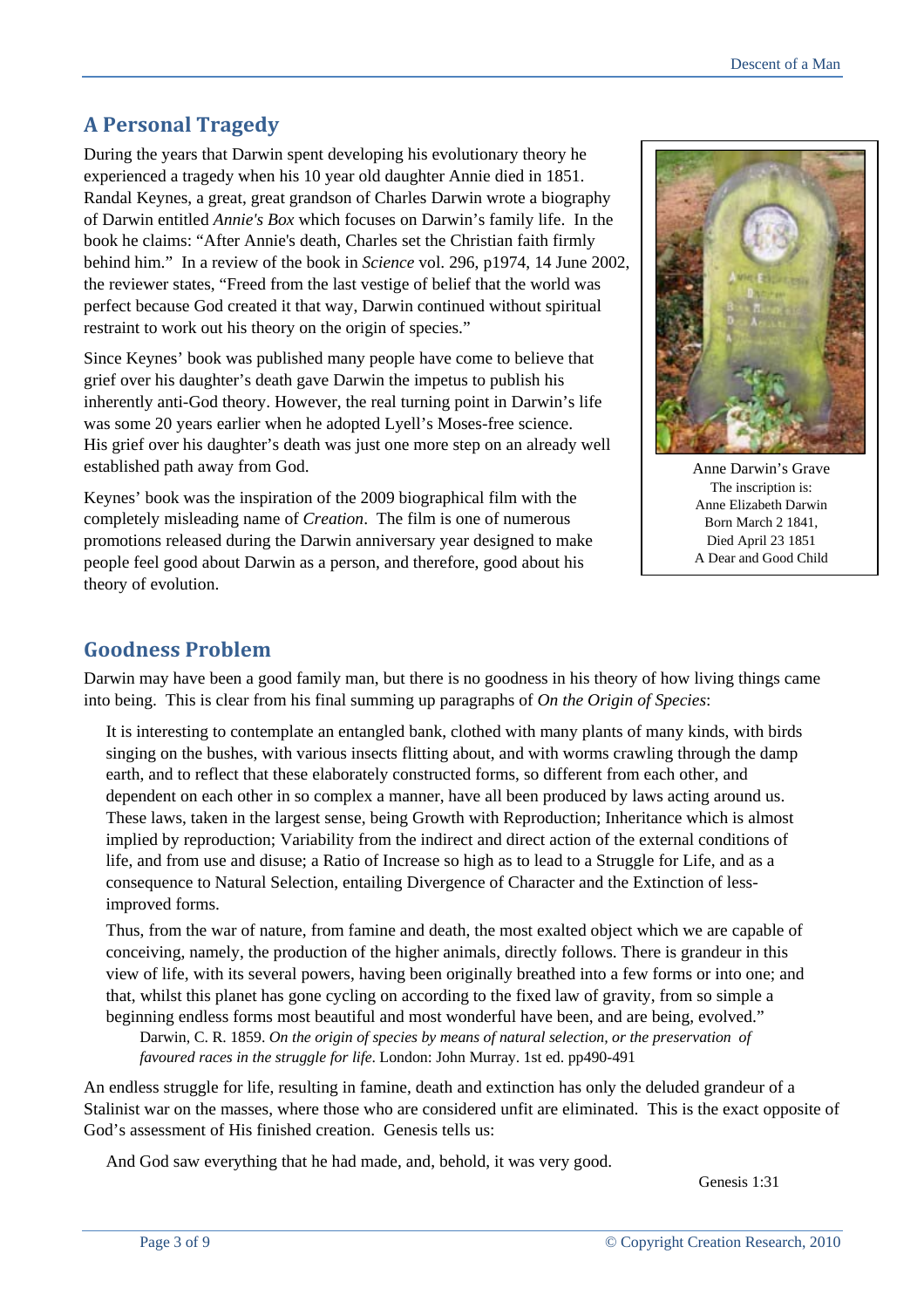# **A Personal Tragedy**

During the years that Darwin spent developing his evolutionary theory he experienced a tragedy when his 10 year old daughter Annie died in 1851. Randal Keynes, a great, great grandson of Charles Darwin wrote a biog raphy of Darwin entitled *Annie's Box* which focuses on Darwin's family life. In the book he claims: "After Annie's death, Charles set the Christian faith firmly behind him." In a review of the book in *Science* vol. 296, p1974, 14 June 2002, the reviewer states, "Freed from the last vestige of belief that the world was perfect because God created it that way, Darwin continued without spiritual restraint to work out his theory on the origin of species."

Since Keynes' book was published many people have come to believe that grief over his daughter's death gave Darwin the impetus to publish his inherently anti-God theory. However, the real turning point in Darwin's life was some 20 years earlier when he adopted Lyell's Moses-free science. His grief over his daughter's death was just one more step on an already well established path away from God.

Keynes' book was the inspiration of the 2009 biographical film with the completely misleading name of *Creation*. The film is one of numerous promotions released during the Darwin anniversary year designed to make people feel good about Darwin as a person, and therefore, good about his theory of evolution.



Anne Darwin's Grave The inscription is: Anne Elizabeth Darwin Born March 2 1841, Died April 23 1851 A Dear and Good Child

### **Goodness Problem**

Darwin may have been a good family man, but there is no goodness in his theory of how living things came into being. This is clear from his final summing up paragraphs of *On the Origin of Species*:

It is interesting to contemplate an entangled bank, clothed with many plants of many kinds, with birds singing on the bushes, with various insects flitting about, and with worms crawling through the damp earth, and to reflect that these elaborately constructed forms, so different from each other, and dependent on each other in so complex a manner, have all been produced by laws acting around us. These laws, taken in the largest sense, being Growth with Reproduction; Inheritance which is almost implied by reproduction; Variability from the indirect and direct action of the external conditions of life, and from use and disuse; a Ratio of Increase so high as to lead to a Struggle for Life, and as a consequence to Natural Selection, entailing Divergence of Character and the Extinction of lessimproved forms.

Thus, from the war of nature, from famine and death, the most exalted object which we are capable of conceiving, namely, the production of the higher animals, directly follows. There is grandeur in this view of life, with its several powers, having been originally breathed into a few forms or into one; and that, whilst this planet has gone cycling on according to the fixed law of gravity, from so simple a beginning endless forms most beautiful and most wonderful have been, and are being, evolved."

 Darwin, C. R. 1859. *On the origin of species by means of natural selection, or the preservation of favoured races in the struggle for life*. London: John Murray. 1st ed. pp490-491

An endless struggle for life, resulting in famine, death and extinction has only the deluded grandeur of a Stalinist war on the masses, where those who are considered unfit are eliminated. This is the exact opposite of God's assessment of His finished creation. Genesis tells us:

And God saw everything that he had made, and, behold, it was very good.

Genesis 1:31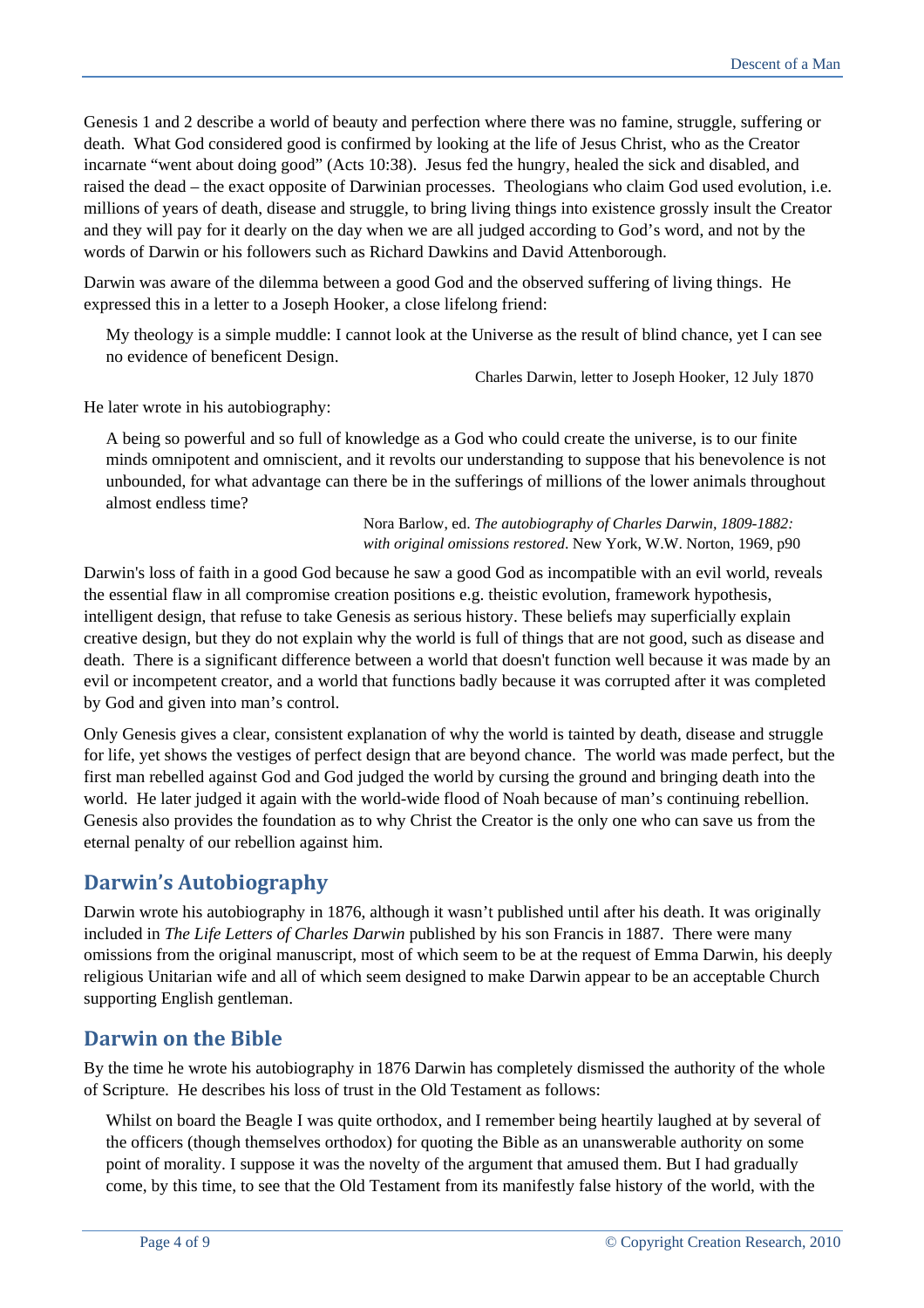Genesis 1 and 2 describe a world of beauty and perfection where there was no famine, struggle, suffering or death. What God considered good is confirmed by looking at the life of Jesus Christ, who as the Creator incarnate "went about doing good" (Acts 10:38). Jesus fed the hungry, healed the sick and disabled, and raised the dead – the exact opposite of Darwinian processes. Theologians who claim God used evolution, i.e. millions of years of death, disease and struggle, to bring living things into existence grossly insult the Creator and they will pay for it dearly on the day when we are all judged according to God's word, and not by the words of Darwin or his followers such as Richard Dawkins and David Attenborough.

Darwin was aware of the dilemma between a good God and the observed suffering of living things. He expressed this in a letter to a Joseph Hooker, a close lifelong friend:

My theology is a simple muddle: I cannot look at the Universe as the result of blind chance, yet I can see no evidence of beneficent Design.

Charles Darwin, letter to Joseph Hooker, 12 July 1870

He later wrote in his autobiography:

A being so powerful and so full of knowledge as a God who could create the universe, is to our finite minds omnipotent and omniscient, and it revolts our understanding to suppose that his benevolence is not unbounded, for what advantage can there be in the sufferings of millions of the lower animals throughout almost endless time?

> Nora Barlow, ed. *The autobiography of Charles Darwin, 1809-1882: with original omissions restored*. New York, W.W. Norton, 1969, p90

Darwin's loss of faith in a good God because he saw a good God as incompatible with an evil world, reveals the essential flaw in all compromise creation positions e.g. theistic evolution, framework hypothesis, intelligent design, that refuse to take Genesis as serious history. These beliefs may superficially explain creative design, but they do not explain why the world is full of things that are not good, such as disease and death. There is a significant difference between a world that doesn't function well because it was made by an evil or incompetent creator, and a world that functions badly because it was corrupted after it was completed by God and given into man's control.

Only Genesis gives a clear, consistent explanation of why the world is tainted by death, disease and struggle for life, yet shows the vestiges of perfect design that are beyond chance. The world was made perfect, but the first man rebelled against God and God judged the world by cursing the ground and bringing death into the world. He later judged it again with the world-wide flood of Noah because of man's continuing rebellion. Genesis also provides the foundation as to why Christ the Creator is the only one who can save us from the eternal penalty of our rebellion against him.

#### **Darwin's Autobiography**

Darwin wrote his autobiography in 1876, although it wasn't published until after his death. It was originally included in *The Life Letters of Charles Darwin* published by his son Francis in 1887. There were many omissions from the original manuscript, most of which seem to be at the request of Emma Darwin, his deeply religious Unitarian wife and all of which seem designed to make Darwin appear to be an acceptable Church supporting English gentleman.

#### **Darwin on the Bible**

By the time he wrote his autobiography in 1876 Darwin has completely dismissed the authority of the whole of Scripture. He describes his loss of trust in the Old Testament as follows:

Whilst on board the Beagle I was quite orthodox, and I remember being heartily laughed at by several of the officers (though themselves orthodox) for quoting the Bible as an unanswerable authority on some point of morality. I suppose it was the novelty of the argument that amused them. But I had gradually come, by this time, to see that the Old Testament from its manifestly false history of the world, with the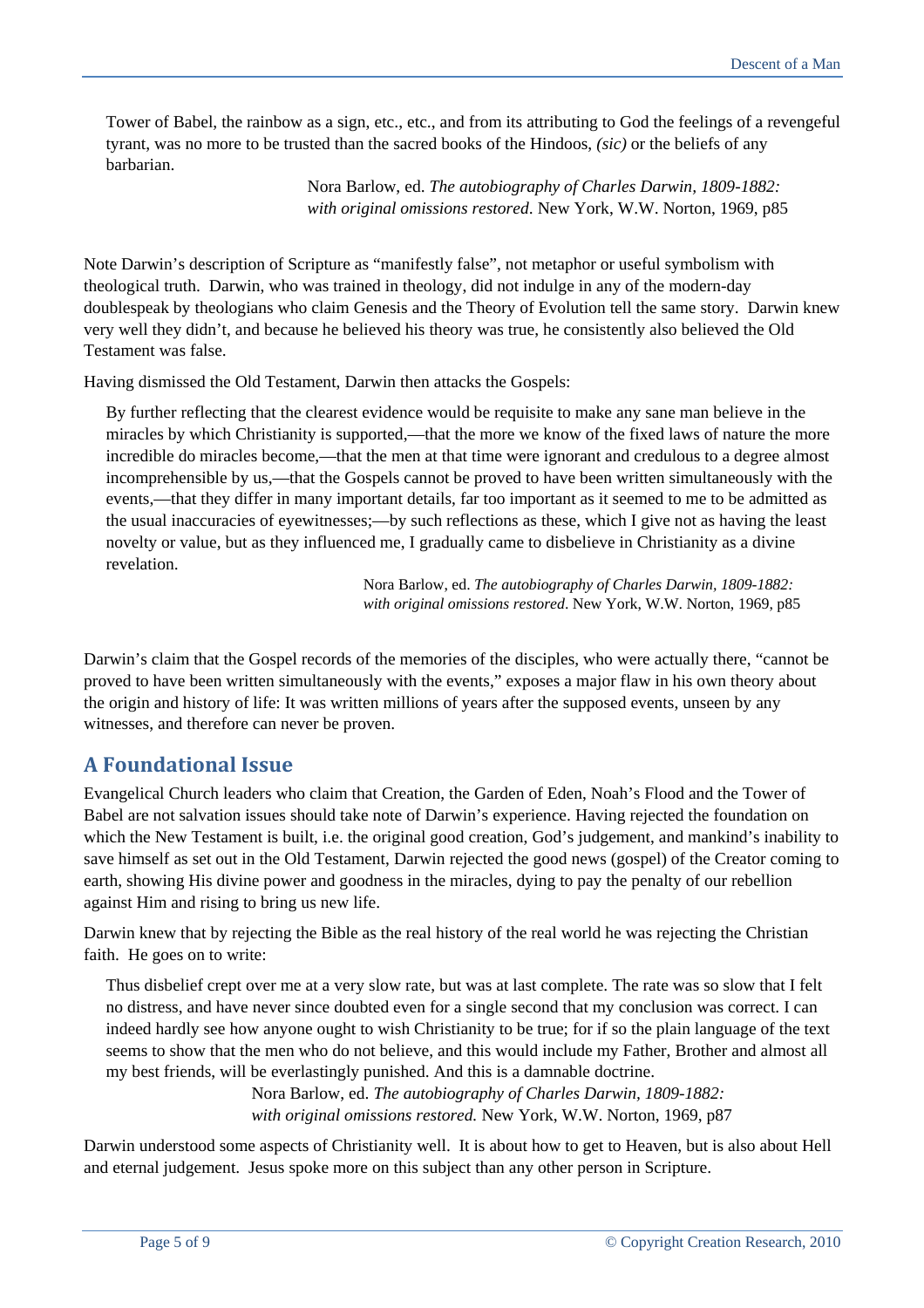Tower of Babel, the rainbow as a sign, etc., etc., and from its attributing to God the feelings of a revengeful tyrant, was no more to be trusted than the sacred books of the Hindoos, *(sic)* or the beliefs of any barbarian.

> Nora Barlow, ed. *The autobiography of Charles Darwin, 1809-1882: with original omissions restored*. New York, W.W. Norton, 1969, p85

Note Darwin's description of Scripture as "manifestly false", not metaphor or useful symbolism with theological truth. Darwin, who was trained in theology, did not indulge in any of the modern-day doublespeak by theologians who claim Genesis and the Theory of Evolution tell the same story. Darwin knew very well they didn't, and because he believed his theory was true, he consistently also believed the Old Testament was false.

Having dismissed the Old Testament, Darwin then attacks the Gospels:

By further reflecting that the clearest evidence would be requisite to make any sane man believe in the miracles by which Christianity is supported,—that the more we know of the fixed laws of nature the more incredible do miracles become,—that the men at that time were ignorant and credulous to a degree almost incomprehensible by us,—that the Gospels cannot be proved to have been written simultaneously with the events,—that they differ in many important details, far too important as it seemed to me to be admitted as the usual inaccuracies of eyewitnesses;—by such reflections as these, which I give not as having the least novelty or value, but as they influenced me, I gradually came to disbelieve in Christianity as a divine revelation.

> Nora Barlow, ed. *The autobiography of Charles Darwin, 1809-1882: with original omissions restored*. New York, W.W. Norton, 1969, p85

Darwin's claim that the Gospel records of the memories of the disciples, who were actually there, "cannot be proved to have been written simultaneously with the events," exposes a major flaw in his own theory about the origin and history of life: It was written millions of years after the supposed events, unseen by any witnesses, and therefore can never be proven.

## **A Foundational Issue**

Evangelical Church leaders who claim that Creation, the Garden of Eden, Noah's Flood and the Tower of Babel are not salvation issues should take note of Darwin's experience. Having rejected the foundation on which the New Testament is built, i.e. the original good creation, God's judgement, and mankind's inability to save himself as set out in the Old Testament, Darwin rejected the good news (gospel) of the Creator coming to earth, showing His divine power and goodness in the miracles, dying to pay the penalty of our rebellion against Him and rising to bring us new life.

Darwin knew that by rejecting the Bible as the real history of the real world he was rejecting the Christian faith. He goes on to write:

Thus disbelief crept over me at a very slow rate, but was at last complete. The rate was so slow that I felt no distress, and have never since doubted even for a single second that my conclusion was correct. I can indeed hardly see how anyone ought to wish Christianity to be true; for if so the plain language of the text seems to show that the men who do not believe, and this would include my Father, Brother and almost all my best friends, will be everlastingly punished. And this is a damnable doctrine.

> Nora Barlow, ed. *The autobiography of Charles Darwin, 1809-1882: with original omissions restored.* New York, W.W. Norton, 1969, p87

Darwin understood some aspects of Christianity well. It is about how to get to Heaven, but is also about Hell and eternal judgement. Jesus spoke more on this subject than any other person in Scripture.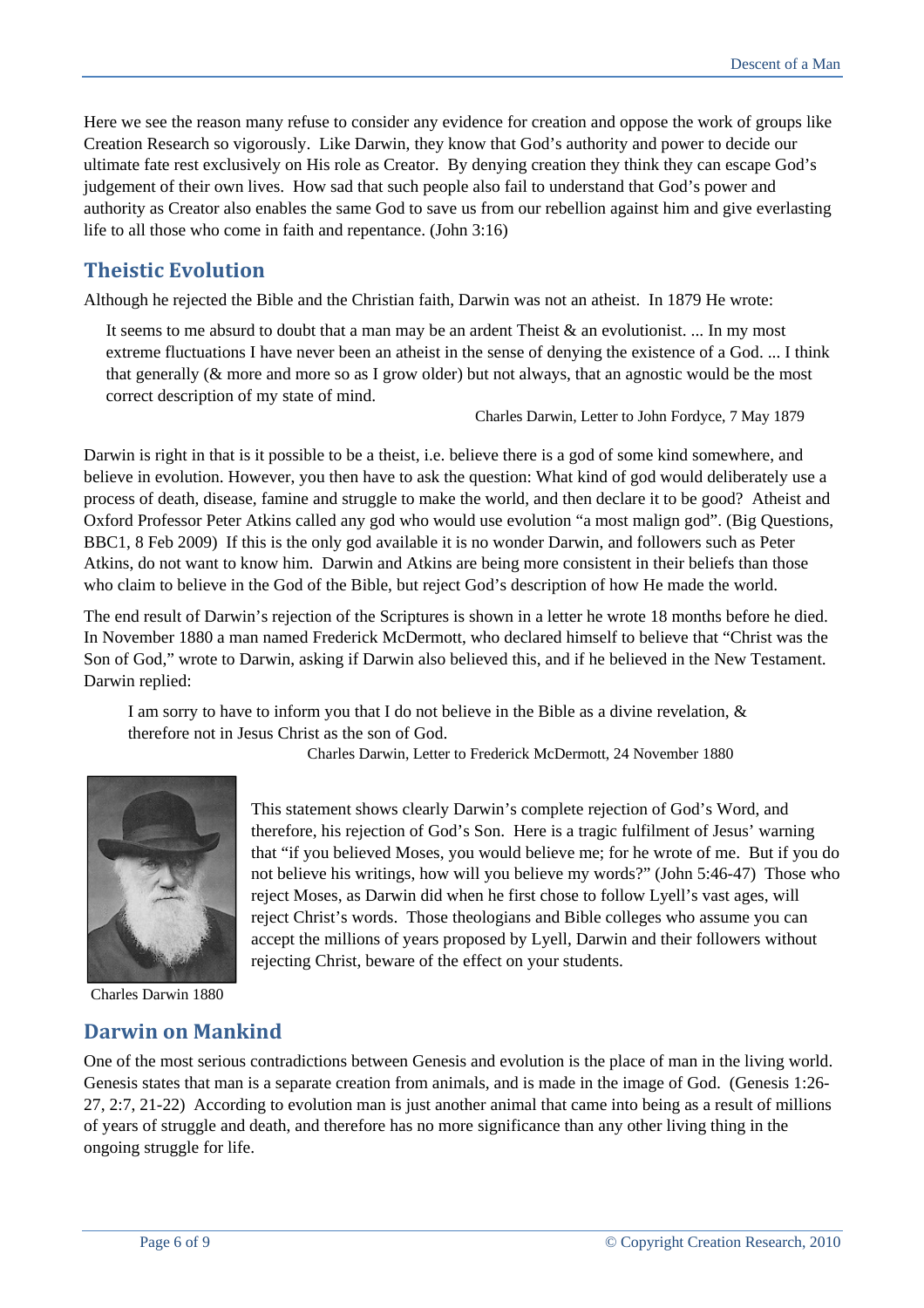Here we see the reason many refuse to consider any evidence for creation and oppose the work of groups like Creation Research so vigorously. Like Darwin, they know that God's authority and power to decide our ultimate fate rest exclusively on His role as Creator. By denying creation they think they can escape God's judgement of their own lives. How sad that such people also fail to understand that God's power and authority as Creator also enables the same God to save us from our rebellion against him and give everlasting life to all those who come in faith and repentance. (John 3:16)

# **Theistic Evolution**

Although he rejected the Bible and the Christian faith, Darwin was not an atheist. In 1879 He wrote:

It seems to me absurd to doubt that a man may be an ardent Theist & an evolutionist. ... In my most extreme fluctuations I have never been an atheist in the sense of denying the existence of a God. ... I think that generally (& more and more so as I grow older) but not always, that an agnostic would be the most correct description of my state of mind.

Charles Darwin, Letter to John Fordyce, 7 May 1879

Darwin is right in that is it possible to be a theist, i.e. believe there is a god of some kind somewhere, and believe in evolution. However, you then have to ask the question: What kind of god would deliberately use a process of death, disease, famine and struggle to make the world, and then declare it to be good? Atheist and Oxford Professor Peter Atkins called any god who would use evolution "a most malign god". (Big Questions, BBC1, 8 Feb 2009) If this is the only god available it is no wonder Darwin, and followers such as Peter Atkins, do not want to know him. Darwin and Atkins are being more consistent in their beliefs than those who claim to believe in the God of the Bible, but reject God's description of how He made the world.

The end result of Darwin's rejection of the Scriptures is shown in a letter he wrote 18 months before he died. In November 1880 a man named Frederick McDermott, who declared himself to believe that "Christ was the Son of God," wrote to Darwin, asking if Darwin also believed this, and if he believed in the New Testament. Darwin replied:

I am sorry to have to inform you that I do not believe in the Bible as a divine revelation, & therefore not in Jesus Christ as the son of God.

Charles Darwin, Letter to Frederick McDermott, 24 November 1880



Charles Darwin 1880

## **Darwin on Mankind**

This statement shows clearly Darwin's complete rejection of God's Word, and therefore, his rejection of God's Son. Here is a tragic fulfilment of Jesus' warning that "if you believed Moses, you would believe me; for he wrote of me. But if you do not believe his writings, how will you believe my words?" (John 5:46-47) Those who reject Moses, as Darwin did when he first chose to follow Lyell's vast ages, will reject Christ's words. Those theologians and Bible colleges who assume you can accept the millions of years proposed by Lyell, Darwin and their followers without rejecting Christ, beware of the effect on your students.

One of the most serious contradictions between Genesis and evolution is the place of man in the living world. Genesis states that man is a separate creation from animals, and is made in the image of God. (Genesis 1:26- 27, 2:7, 21-22) According to evolution man is just another animal that came into being as a result of millions of years of struggle and death, and therefore has no more significance than any other living thing in the ongoing struggle for life.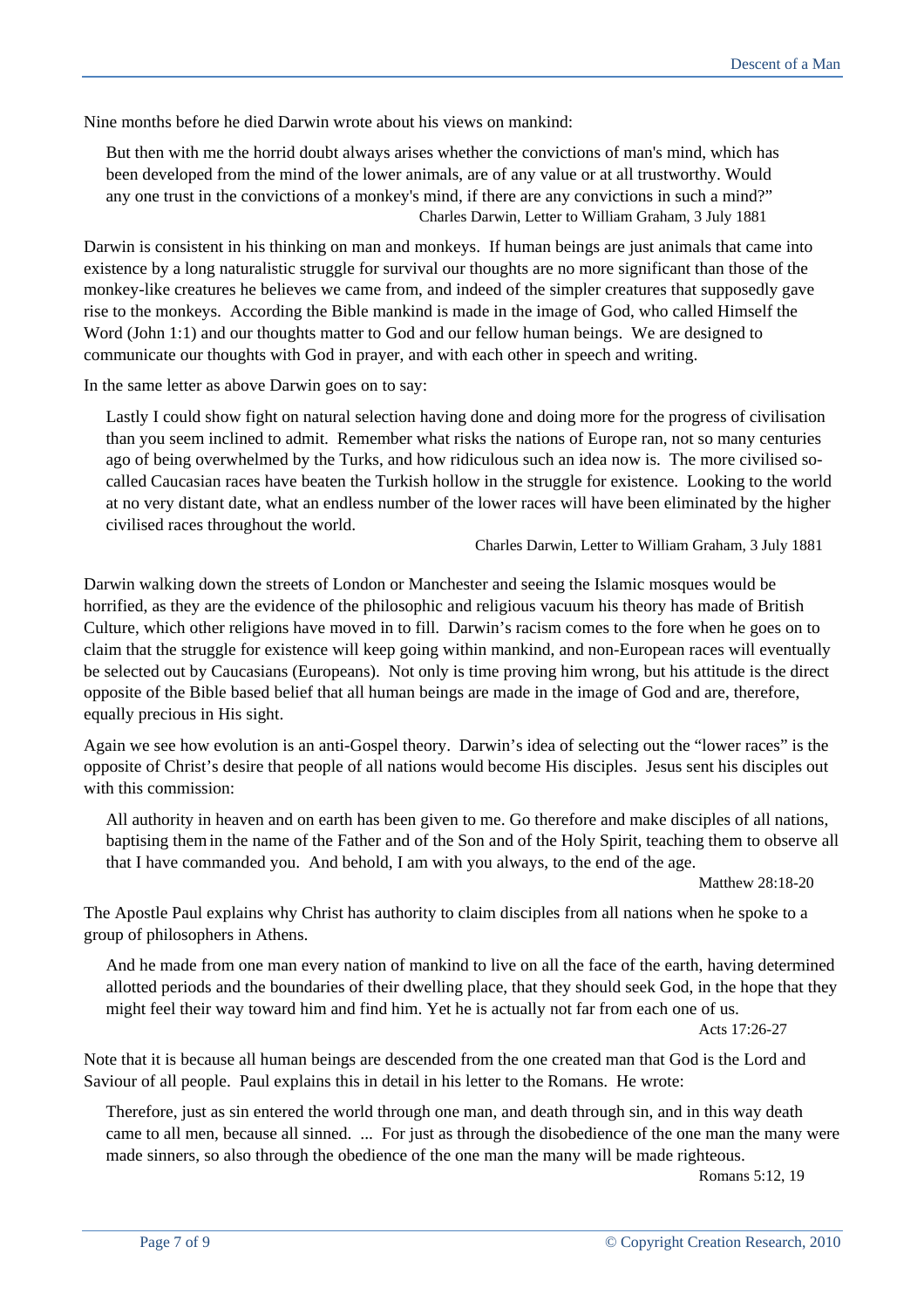Nine months before he died Darwin wrote about his views on mankind:

But then with me the horrid doubt always arises whether the convictions of man's mind, which has been developed from the mind of the lower animals, are of any value or at all trustworthy. Would any one trust in the convictions of a monkey's mind, if there are any convictions in such a mind?" Charles Darwin, Letter to William Graham, 3 July 1881

Darwin is consistent in his thinking on man and monkeys. If human beings are just animals that came into existence by a long naturalistic struggle for survival our thoughts are no more significant than those of the monkey-like creatures he believes we came from, and indeed of the simpler creatures that supposedly gave rise to the monkeys. According the Bible mankind is made in the image of God, who called Himself the Word (John 1:1) and our thoughts matter to God and our fellow human beings. We are designed to communicate our thoughts with God in prayer, and with each other in speech and writing.

In the same letter as above Darwin goes on to say:

Lastly I could show fight on natural selection having done and doing more for the progress of civilisation than you seem inclined to admit. Remember what risks the nations of Europe ran, not so many centuries ago of being overwhelmed by the Turks, and how ridiculous such an idea now is. The more civilised socalled Caucasian races have beaten the Turkish hollow in the struggle for existence. Looking to the world at no very distant date, what an endless number of the lower races will have been eliminated by the higher civilised races throughout the world.

Charles Darwin, Letter to William Graham, 3 July 1881

Darwin walking down the streets of London or Manchester and seeing the Islamic mosques would be horrified, as they are the evidence of the philosophic and religious vacuum his theory has made of British Culture, which other religions have moved in to fill. Darwin's racism comes to the fore when he goes on to claim that the struggle for existence will keep going within mankind, and non-European races will eventually be selected out by Caucasians (Europeans). Not only is time proving him wrong, but his attitude is the direct opposite of the Bible based belief that all human beings are made in the image of God and are, therefore, equally precious in His sight.

Again we see how evolution is an anti-Gospel theory. Darwin's idea of selecting out the "lower races" is the opposite of Christ's desire that people of all nations would become His disciples. Jesus sent his disciples out with this commission:

All authority in heaven and on earth has been given to me. Go therefore and make disciples of all nations, baptising themin the name of the Father and of the Son and of the Holy Spirit, teaching them to observe all that I have commanded you. And behold, I am with you always, to the end of the age.

Matthew 28:18-20

The Apostle Paul explains why Christ has authority to claim disciples from all nations when he spoke to a group of philosophers in Athens.

And he made from one man every nation of mankind to live on all the face of the earth, having determined allotted periods and the boundaries of their dwelling place, that they should seek God, in the hope that they might feel their way toward him and find him. Yet he is actually not far from each one of us.

Acts 17:26-27

Note that it is because all human beings are descended from the one created man that God is the Lord and Saviour of all people. Paul explains this in detail in his letter to the Romans. He wrote:

Therefore, just as sin entered the world through one man, and death through sin, and in this way death came to all men, because all sinned. ... For just as through the disobedience of the one man the many were made sinners, so also through the obedience of the one man the many will be made righteous.

Romans 5:12, 19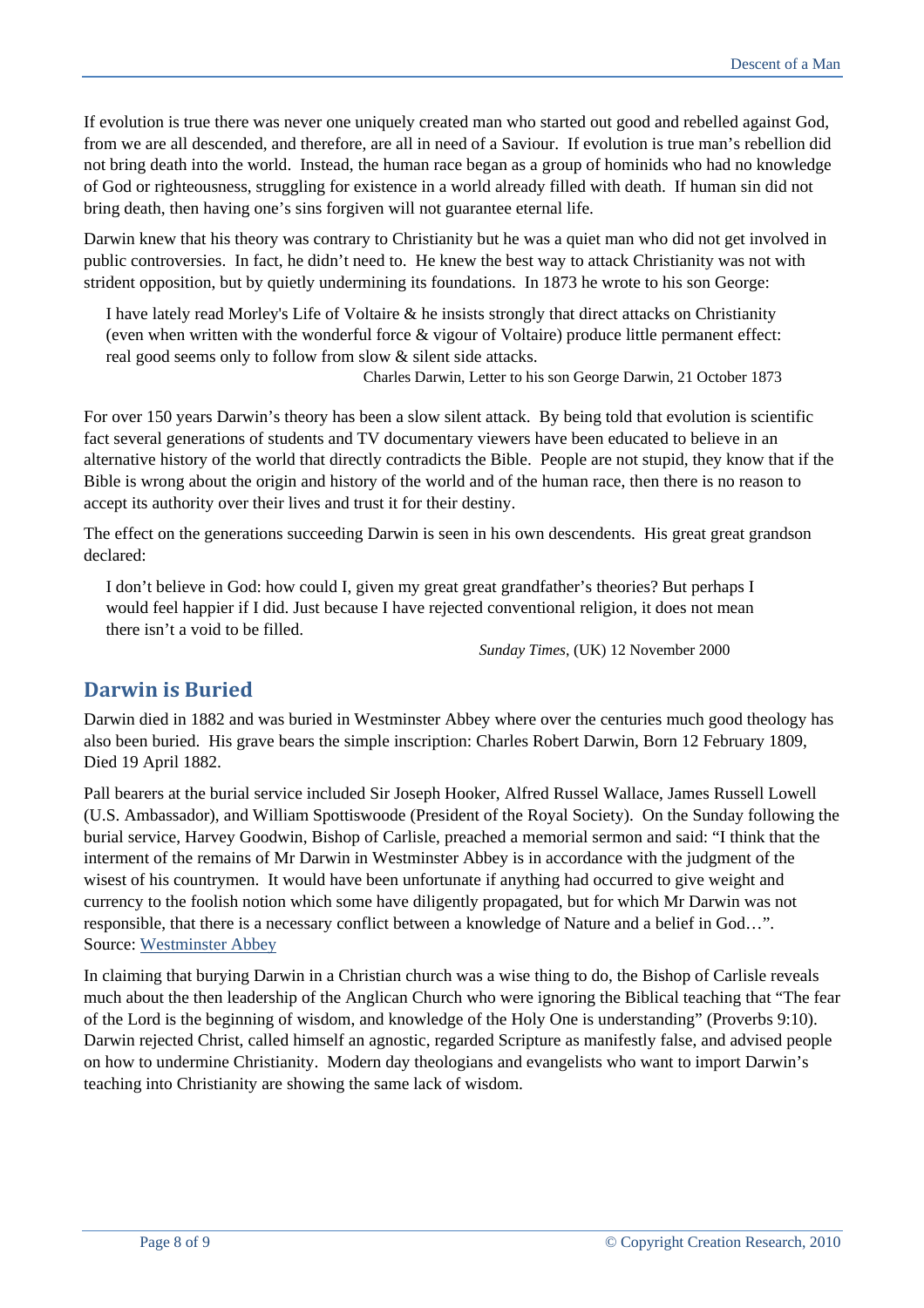If evolution is true there was never one uniquely created man who started out good and rebelled against God, from we are all descended, and therefore, are all in need of a Saviour. If evolution is true man's rebellion did not bring death into the world. Instead, the human race began as a group of hominids who had no knowledge of God or righteousness, struggling for existence in a world already filled with death. If human sin did not bring death, then having one's sins forgiven will not guarantee eternal life.

Darwin knew that his theory was contrary to Christianity but he was a quiet man who did not get involved in public controversies. In fact, he didn't need to. He knew the best way to attack Christianity was not with strident opposition, but by quietly undermining its foundations. In 1873 he wrote to his son George:

I have lately read Morley's Life of Voltaire & he insists strongly that direct attacks on Christianity (even when written with the wonderful force & vigour of Voltaire) produce little permanent effect: real good seems only to follow from slow & silent side attacks.

Charles Darwin, Letter to his son George Darwin, 21 October 1873

For over 150 years Darwin's theory has been a slow silent attack. By being told that evolution is scientific fact several generations of students and TV documentary viewers have been educated to believe in an alternative history of the world that directly contradicts the Bible. People are not stupid, they know that if the Bible is wrong about the origin and history of the world and of the human race, then there is no reason to accept its authority over their lives and trust it for their destiny.

The effect on the generations succeeding Darwin is seen in his own descendents. His great great grandson declared:

I don't believe in God: how could I, given my great great grandfather's theories? But perhaps I would feel happier if I did. Just because I have rejected conventional religion, it does not mean there isn't a void to be filled.

*Sunday Times*, (UK) 12 November 2000

# **Darwin is Buried**

Darwin died in 1882 and was buried in Westminster Abbey where over the centuries much good theology has also been buried. His grave bears the simple inscription: Charles Robert Darwin, Born 12 February 1809, Died 19 April 1882.

Pall bearers at the burial service included Sir Joseph Hooker, Alfred Russel Wallace, James Russell Lowell (U.S. Ambassador), and William Spottiswoode (President of the Royal Society). On the Sunday following the burial service, Harvey Goodwin, Bishop of Carlisle, preached a memorial sermon and said: "I think that the interment of the remains of Mr Darwin in Westminster Abbey is in accordance with the judgment of the wisest of his countrymen. It would have been unfortunate if anything had occurred to give weight and currency to the foolish notion which some have diligently propagated, but for which Mr Darwin was not responsible, that there is a necessary conflict between a knowledge of Nature and a belief in God…". Source: [Westminster Abbey](http://www.westminster-abbey.org/our-history/people/charles-darwin)

In claiming that burying Darwin in a Christian church was a wise thing to do, the Bishop of Carlisle reveals much about the then leadership of the Anglican Church who were ignoring the Biblical teaching that "The fear of the Lord is the beginning of wisdom, and knowledge of the Holy One is understanding" (Proverbs 9:10). Darwin rejected Christ, called himself an agnostic, regarded Scripture as manifestly false, and advised people on how to undermine Christianity. Modern day theologians and evangelists who want to import Darwin's teaching into Christianity are showing the same lack of wisdom.